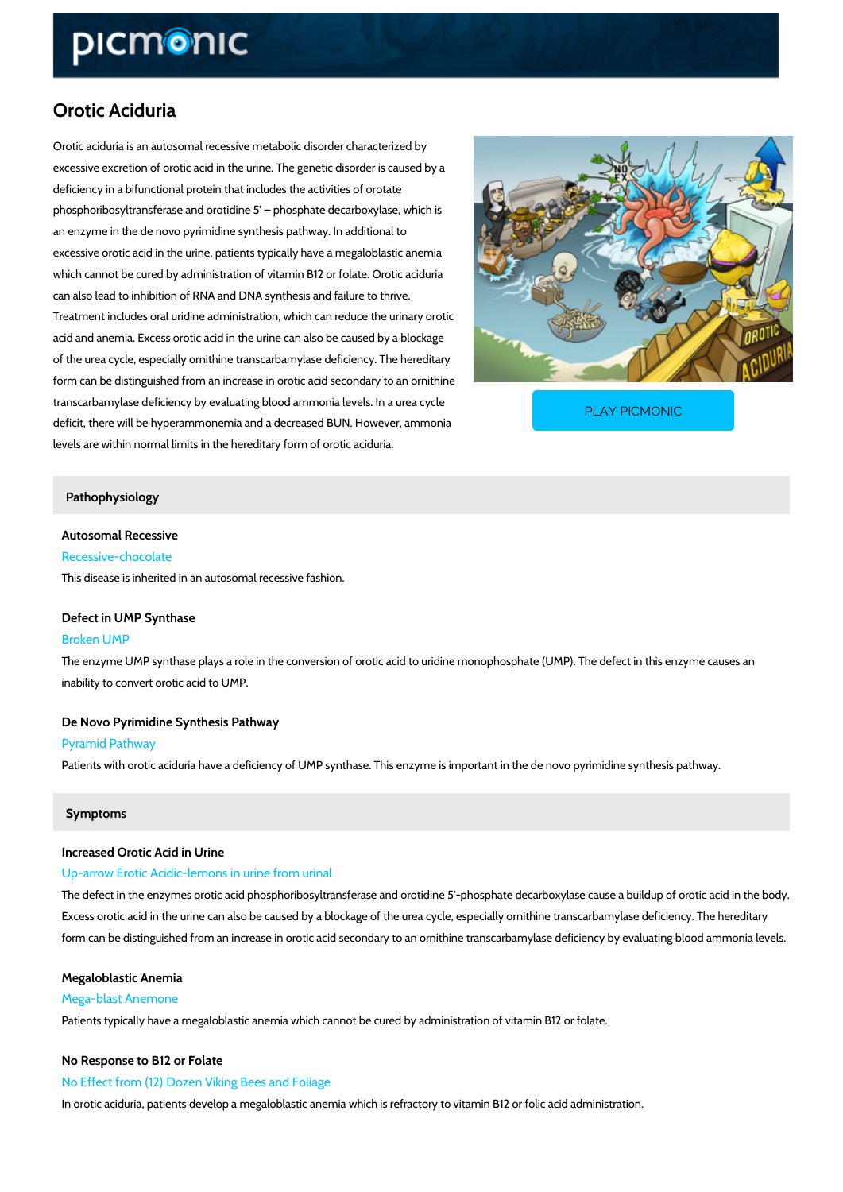# Orotic Aciduria

Orotic aciduria is an autosomal recessive metabolic disorder characterized by excessive excretion of orotic acid in the urine. The genetic disorder is caused by a deficiency in a bifunctional protein that includes the activities of orotate phosphoribosyltransferase and orotidine 5 phosphate decarboxylase, which is an enzyme in the de novo pyrimidine synthesis pathway. In additional to excessive orotic acid in the urine, patients typically have a megaloblastic anemia which cannot be cured by administration of vitamin B12 or folate. Orotic aciduria can also lead to inhibition of RNA and DNA synthesis and failure to thrive. Treatment includes oral uridine administration, which can reduce the urinary orotic acid and anemia. Excess orotic acid in the urine can also be caused by a blockage of the urea cycle, especially ornithine transcarbamylase deficiency. The hereditary form can be distinguished from an increase in orotic acid secondary to an ornithine transcarbamylase deficiency by evaluating blood ammonia deficit, there will be hyperammonemia and a decreased Bl levels are within normal limits in the hereditary form of orotic aciduria. PLAY PICMONIC

#### Pathophysiology

Autosomal Recessive Recessive-chocolate

This disease is inherited in an autosomal recessive fashion.

#### Defect in UMP Synthase

#### Broken UMP

The enzyme UMP synthase plays a role in the conversion of orotic acid to uridine monophosph inability to convert orotic acid to UMP.

De Novo Pyrimidine Synthesis Pathway Pyramid Pathway Patients with orotic aciduria have a deficiency of UMP synthase. This enzyme is important in

#### Symptoms

### Increased Orotic Acid in Urine Up-arrow Erotic Acidic-lemons in urine from urinal

The defect in the enzymes orotic acid phosphoribosyltransferase and orotidine 5'-phosphate d Excess orotic acid in the urine can also be caused by a blockage of the urea cycle, especially form can be distinguished from an increase in orotic acid secondary to an ornithine transcarba

Megaloblastic Anemia Mega-blast Anemone Patients typically have a megaloblastic anemia which cannot be cured by administration of vit

No Response to B12 or Folate

No Effect from (12) Dozen Viking Bees and Foliage

In orotic aciduria, patients develop a megaloblastic anemia which is refractory to vitamin B12